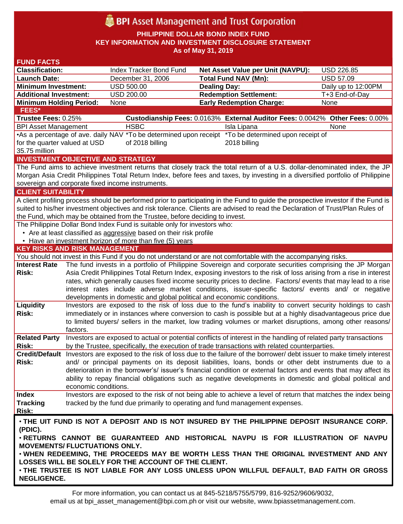# **BPI** Asset Management and Trust Corporation

**PHILIPPINE DOLLAR BOND INDEX FUND KEY INFORMATION AND INVESTMENT DISCLOSURE STATEMENT As of May 31, 2019**

| <b>FUND FACTS</b>                                                                                                                  |                                                                                                                    |                                                                        |                                                                                                                                 |                     |  |
|------------------------------------------------------------------------------------------------------------------------------------|--------------------------------------------------------------------------------------------------------------------|------------------------------------------------------------------------|---------------------------------------------------------------------------------------------------------------------------------|---------------------|--|
| <b>Classification:</b>                                                                                                             |                                                                                                                    | Index Tracker Bond Fund                                                | Net Asset Value per Unit (NAVPU):                                                                                               | USD 226.85          |  |
| <b>Launch Date:</b>                                                                                                                |                                                                                                                    | December 31, 2006                                                      | <b>Total Fund NAV (Mn):</b>                                                                                                     | <b>USD 57.09</b>    |  |
| <b>Minimum Investment:</b>                                                                                                         |                                                                                                                    | <b>USD 500.00</b>                                                      | <b>Dealing Day:</b>                                                                                                             | Daily up to 12:00PM |  |
| <b>Additional Investment:</b>                                                                                                      |                                                                                                                    | <b>USD 200.00</b>                                                      | <b>Redemption Settlement:</b>                                                                                                   | T+3 End-of-Day      |  |
| <b>Minimum Holding Period:</b>                                                                                                     |                                                                                                                    | None                                                                   | <b>Early Redemption Charge:</b>                                                                                                 | None                |  |
| <b>FEES*</b>                                                                                                                       |                                                                                                                    |                                                                        |                                                                                                                                 |                     |  |
| Trustee Fees: 0.25%                                                                                                                |                                                                                                                    |                                                                        | Custodianship Fees: 0.0163% External Auditor Fees: 0.0042% Other Fees: 0.00%                                                    |                     |  |
| <b>BPI Asset Management</b>                                                                                                        |                                                                                                                    | <b>HSBC</b>                                                            | Isla Lipana                                                                                                                     | None                |  |
| •As a percentage of ave. daily NAV *To be determined upon receipt *To be determined upon receipt of                                |                                                                                                                    |                                                                        |                                                                                                                                 |                     |  |
| for the quarter valued at USD<br>of 2018 billing<br>2018 billing                                                                   |                                                                                                                    |                                                                        |                                                                                                                                 |                     |  |
| 35.75 million                                                                                                                      |                                                                                                                    |                                                                        |                                                                                                                                 |                     |  |
|                                                                                                                                    |                                                                                                                    | <b>INVESTMENT OBJECTIVE AND STRATEGY</b>                               |                                                                                                                                 |                     |  |
| The Fund aims to achieve investment returns that closely track the total return of a U.S. dollar-denominated index, the JP         |                                                                                                                    |                                                                        |                                                                                                                                 |                     |  |
| Morgan Asia Credit Philippines Total Return Index, before fees and taxes, by investing in a diversified portfolio of Philippine    |                                                                                                                    |                                                                        |                                                                                                                                 |                     |  |
| sovereign and corporate fixed income instruments.                                                                                  |                                                                                                                    |                                                                        |                                                                                                                                 |                     |  |
| <b>CLIENT SUITABILITY</b>                                                                                                          |                                                                                                                    |                                                                        |                                                                                                                                 |                     |  |
| A client profiling process should be performed prior to participating in the Fund to guide the prospective investor if the Fund is |                                                                                                                    |                                                                        |                                                                                                                                 |                     |  |
| suited to his/her investment objectives and risk tolerance. Clients are advised to read the Declaration of Trust/Plan Rules of     |                                                                                                                    |                                                                        |                                                                                                                                 |                     |  |
| the Fund, which may be obtained from the Trustee, before deciding to invest.                                                       |                                                                                                                    |                                                                        |                                                                                                                                 |                     |  |
| The Philippine Dollar Bond Index Fund is suitable only for investors who:                                                          |                                                                                                                    |                                                                        |                                                                                                                                 |                     |  |
| • Are at least classified as aggressive based on their risk profile                                                                |                                                                                                                    |                                                                        |                                                                                                                                 |                     |  |
|                                                                                                                                    |                                                                                                                    | • Have an investment horizon of more than five (5) years               |                                                                                                                                 |                     |  |
| <b>KEY RISKS AND RISK MANAGEMENT</b>                                                                                               |                                                                                                                    |                                                                        |                                                                                                                                 |                     |  |
|                                                                                                                                    |                                                                                                                    |                                                                        | You should not invest in this Fund if you do not understand or are not comfortable with the accompanying risks.                 |                     |  |
| <b>Interest Rate</b>                                                                                                               |                                                                                                                    |                                                                        | The fund invests in a portfolio of Philippine Sovereign and corporate securities comprising the JP Morgan                       |                     |  |
| Risk:                                                                                                                              | Asia Credit Philippines Total Return Index, exposing investors to the risk of loss arising from a rise in interest |                                                                        |                                                                                                                                 |                     |  |
|                                                                                                                                    |                                                                                                                    |                                                                        | rates, which generally causes fixed income security prices to decline. Factors/ events that may lead to a rise                  |                     |  |
|                                                                                                                                    |                                                                                                                    |                                                                        | interest rates include adverse market conditions, issuer-specific factors/ events and/ or negative                              |                     |  |
|                                                                                                                                    |                                                                                                                    | developments in domestic and global political and economic conditions. |                                                                                                                                 |                     |  |
| Liquidity                                                                                                                          |                                                                                                                    |                                                                        | Investors are exposed to the risk of loss due to the fund's inability to convert security holdings to cash                      |                     |  |
| Risk:                                                                                                                              |                                                                                                                    |                                                                        | immediately or in instances where conversion to cash is possible but at a highly disadvantageous price due                      |                     |  |
|                                                                                                                                    |                                                                                                                    |                                                                        | to limited buyers/ sellers in the market, low trading volumes or market disruptions, among other reasons/                       |                     |  |
|                                                                                                                                    | factors.                                                                                                           |                                                                        |                                                                                                                                 |                     |  |
| <b>Related Party</b>                                                                                                               |                                                                                                                    |                                                                        | Investors are exposed to actual or potential conflicts of interest in the handling of related party transactions                |                     |  |
| <b>Risk:</b>                                                                                                                       |                                                                                                                    |                                                                        | by the Trustee, specifically, the execution of trade transactions with related counterparties.                                  |                     |  |
|                                                                                                                                    |                                                                                                                    |                                                                        | Credit/Default Investors are exposed to the risk of loss due to the failure of the borrower/debt issuer to make timely interest |                     |  |
| <b>Risk:</b>                                                                                                                       |                                                                                                                    |                                                                        | and/ or principal payments on its deposit liabilities, loans, bonds or other debt instruments due to a                          |                     |  |
|                                                                                                                                    |                                                                                                                    |                                                                        | deterioration in the borrower's/ issuer's financial condition or external factors and events that may affect its                |                     |  |
|                                                                                                                                    |                                                                                                                    |                                                                        | ability to repay financial obligations such as negative developments in domestic and global political and                       |                     |  |
|                                                                                                                                    | economic conditions.                                                                                               |                                                                        |                                                                                                                                 |                     |  |
| <b>Index</b>                                                                                                                       |                                                                                                                    |                                                                        | Investors are exposed to the risk of not being able to achieve a level of return that matches the index being                   |                     |  |
| <b>Tracking</b>                                                                                                                    |                                                                                                                    |                                                                        | tracked by the fund due primarily to operating and fund management expenses.                                                    |                     |  |
| <b>Risk:</b>                                                                                                                       |                                                                                                                    |                                                                        |                                                                                                                                 |                     |  |
| . THE UIT FUND IS NOT A DEPOSIT AND IS NOT INSURED BY THE PHILIPPINE DEPOSIT INSURANCE CORP.                                       |                                                                                                                    |                                                                        |                                                                                                                                 |                     |  |
| (PDIC).                                                                                                                            |                                                                                                                    |                                                                        |                                                                                                                                 |                     |  |
| . RETURNS CANNOT BE GUARANTEED AND HISTORICAL NAVPU IS FOR ILLUSTRATION OF NAVPU                                                   |                                                                                                                    |                                                                        |                                                                                                                                 |                     |  |
| <b>MOVEMENTS/ FLUCTUATIONS ONLY.</b>                                                                                               |                                                                                                                    |                                                                        |                                                                                                                                 |                     |  |
| . WHEN REDEEMING, THE PROCEEDS MAY BE WORTH LESS THAN THE ORIGINAL INVESTMENT AND ANY                                              |                                                                                                                    |                                                                        |                                                                                                                                 |                     |  |
| LOSSES WILL BE SOLELY FOR THE ACCOUNT OF THE CLIENT.                                                                               |                                                                                                                    |                                                                        |                                                                                                                                 |                     |  |
| . THE TRUSTEE IS NOT LIABLE FOR ANY LOSS UNLESS UPON WILLFUL DEFAULT, BAD FAITH OR GROSS                                           |                                                                                                                    |                                                                        |                                                                                                                                 |                     |  |
| <b>NEGLIGENCE.</b>                                                                                                                 |                                                                                                                    |                                                                        |                                                                                                                                 |                     |  |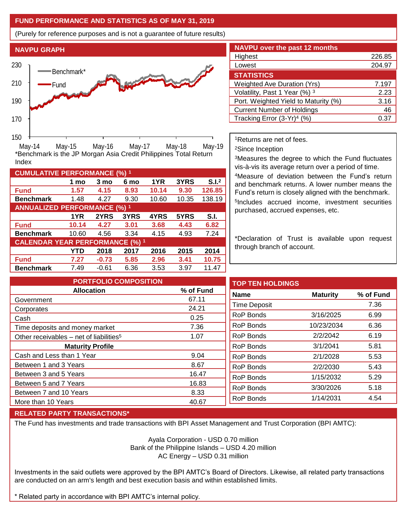## **FUND PERFORMANCE AND STATISTICS AS OF MAY 31, 2019**

(Purely for reference purposes and is not a guarantee of future results)



**Fund 1.57 4.15 8.93 10.14 9.30 126.85 Benchmark** 1.48 4.27 9.30 10.60 10.35 138.19

\*Benchmark is the JP Morgan Asia Credit Philippines Total Return

**Fund 10.14 4.27 3.01 3.68 4.43 6.82 Benchmark** 10.60 4.56 3.34 4.15 4.93 7.24

**Fund 7.27 -0.73 5.85 2.96 3.41 10.75 Benchmark** 7.49 -0.61 6.36 3.53 3.97 11.47

**1 mo 3 mo 6 mo 1YR 3YRS S.I.<sup>2</sup>**

**1YR 2YRS 3YRS 4YRS 5YRS S.I.**

**YTD 2018 2017 2016 2015 2014**

| <b>NAVPU over the past 12 months</b>   |        |
|----------------------------------------|--------|
| Highest                                | 226.85 |
| Lowest                                 | 204.97 |
| <b>STATISTICS</b>                      |        |
| <b>Weighted Ave Duration (Yrs)</b>     | 7.197  |
| Volatility, Past 1 Year (%) 3          | 2.23   |
| Port. Weighted Yield to Maturity (%)   | 3.16   |
| <b>Current Number of Holdings</b>      | 46     |
| Tracking Error (3-Yr) <sup>4</sup> (%) | 0.3    |

<sup>1</sup>Returns are net of fees.

<sup>2</sup>Since Inception

<sup>3</sup>Measures the degree to which the Fund fluctuates vis-à-vis its average return over a period of time.

<sup>4</sup>Measure of deviation between the Fund's return and benchmark returns. A lower number means the Fund's return is closely aligned with the benchmark. 5 Includes accrued income, investment securities purchased, accrued expenses, etc.

\*Declaration of Trust is available upon request through branch of account.

**TOP TEN HOLDINGS Name Maturity % of Fund** Time Deposit 7.36 RoP Bonds 3/16/2025 6.99 RoP Bonds 10/23/2034 6.36 RoP Bonds 2/2/2042 6.19 RoP Bonds 3/1/2041 5.81 RoP Bonds 2/1/2028 5.53 RoP Bonds 2/2/2030 5.43 RoP Bonds 1/15/2032 5.29 RoP Bonds 3/30/2026 5.18 RoP Bonds 1/14/2031 4.54 **PORTFOLIO COMPOSITION Allocation % of Fund** Government 67.11 Corporates 24.21 Cash 0.25 Time deposits and money market 7.36 Other receivables – net of liabilities<sup>5</sup>  $1.07$ **Maturity Profile** Cash and Less than 1 Year 9.04 Between 1 and 3 Years 8.67 Between 3 and 5 Years 16.47 Between 5 and 7 Years 16.83 Between 7 and 10 Years 8.33 More than 10 Years 40.67

## **RELATED PARTY TRANSACTIONS\***

**CUMULATIVE PERFORMANCE (%) <sup>1</sup>**

Index

**ANNUALIZED PERFORMANCE (%) <sup>1</sup>**

**CALENDAR YEAR PERFORMANCE (%) <sup>1</sup>**

The Fund has investments and trade transactions with BPI Asset Management and Trust Corporation (BPI AMTC):

Ayala Corporation - USD 0.70 million Bank of the Philippine Islands – USD 4.20 million AC Energy – USD 0.31 million

Investments in the said outlets were approved by the BPI AMTC's Board of Directors. Likewise, all related party transactions are conducted on an arm's length and best execution basis and within established limits.

\* Related party in accordance with BPI AMTC's internal policy.